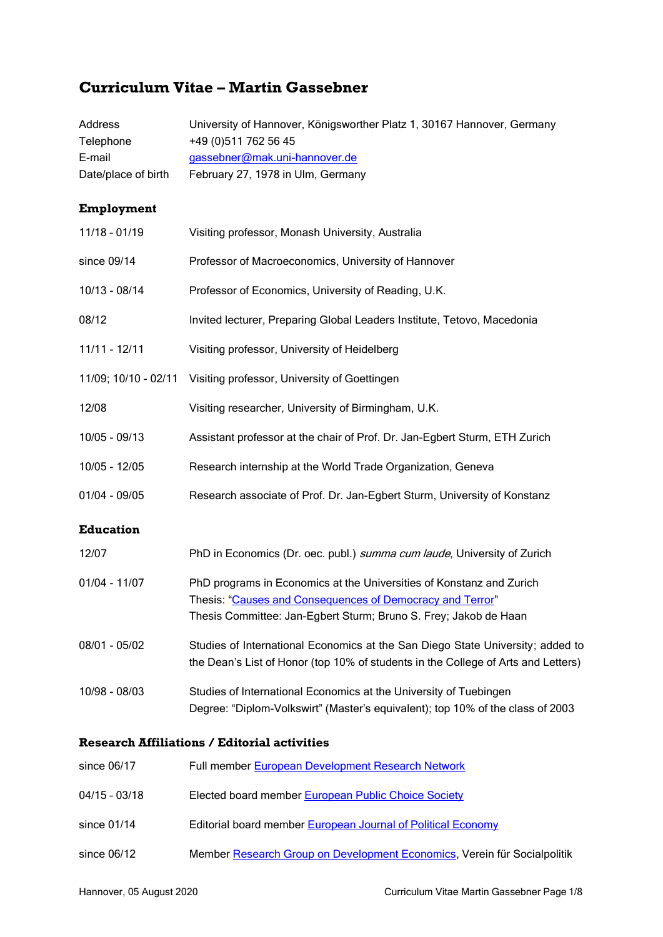# **Curriculum Vitae – Martin Gassebner**

| <b>Address</b><br>Telephone | University of Hannover, Königsworther Platz 1, 30167 Hannover, Germany<br>+49 (0) 511 762 56 45                                                                                                       |
|-----------------------------|-------------------------------------------------------------------------------------------------------------------------------------------------------------------------------------------------------|
| E-mail                      | gassebner@mak.uni-hannover.de                                                                                                                                                                         |
| Date/place of birth         | February 27, 1978 in Ulm, Germany                                                                                                                                                                     |
| Employment                  |                                                                                                                                                                                                       |
| $11/18 - 01/19$             | Visiting professor, Monash University, Australia                                                                                                                                                      |
| since 09/14                 | Professor of Macroeconomics, University of Hannover                                                                                                                                                   |
| 10/13 - 08/14               | Professor of Economics, University of Reading, U.K.                                                                                                                                                   |
| 08/12                       | Invited lecturer, Preparing Global Leaders Institute, Tetovo, Macedonia                                                                                                                               |
| 11/11 - 12/11               | Visiting professor, University of Heidelberg                                                                                                                                                          |
| 11/09; 10/10 - 02/11        | Visiting professor, University of Goettingen                                                                                                                                                          |
| 12/08                       | Visiting researcher, University of Birmingham, U.K.                                                                                                                                                   |
| 10/05 - 09/13               | Assistant professor at the chair of Prof. Dr. Jan-Egbert Sturm, ETH Zurich                                                                                                                            |
| 10/05 - 12/05               | Research internship at the World Trade Organization, Geneva                                                                                                                                           |
| $01/04 - 09/05$             | Research associate of Prof. Dr. Jan-Egbert Sturm, University of Konstanz                                                                                                                              |
| <b>Education</b>            |                                                                                                                                                                                                       |
| 12/07                       | PhD in Economics (Dr. oec. publ.) summa cum laude, University of Zurich                                                                                                                               |
| $01/04 - 11/07$             | PhD programs in Economics at the Universities of Konstanz and Zurich<br>Thesis: "Causes and Consequences of Democracy and Terror"<br>Thesis Committee: Jan-Egbert Sturm; Bruno S. Frey; Jakob de Haan |
| 08/01 - 05/02               | Studies of International Economics at the San Diego State University; added to<br>the Dean's List of Honor (top 10% of students in the College of Arts and Letters)                                   |
| 10/98 - 08/03               | Studies of International Economics at the University of Tuebingen<br>Degree: "Diplom-Volkswirt" (Master's equivalent); top 10% of the class of 2003                                                   |
|                             | <b>Research Affiliations / Editorial activities</b>                                                                                                                                                   |
| since 06/17                 | Full member European Development Research Network                                                                                                                                                     |
| $04/15 - 03/18$             | Elected board member European Public Choice Society                                                                                                                                                   |
| since 01/14                 | Editorial board member European Journal of Political Economy                                                                                                                                          |
| since 06/12                 | Member Research Group on Development Economics, Verein für Socialpolitik                                                                                                                              |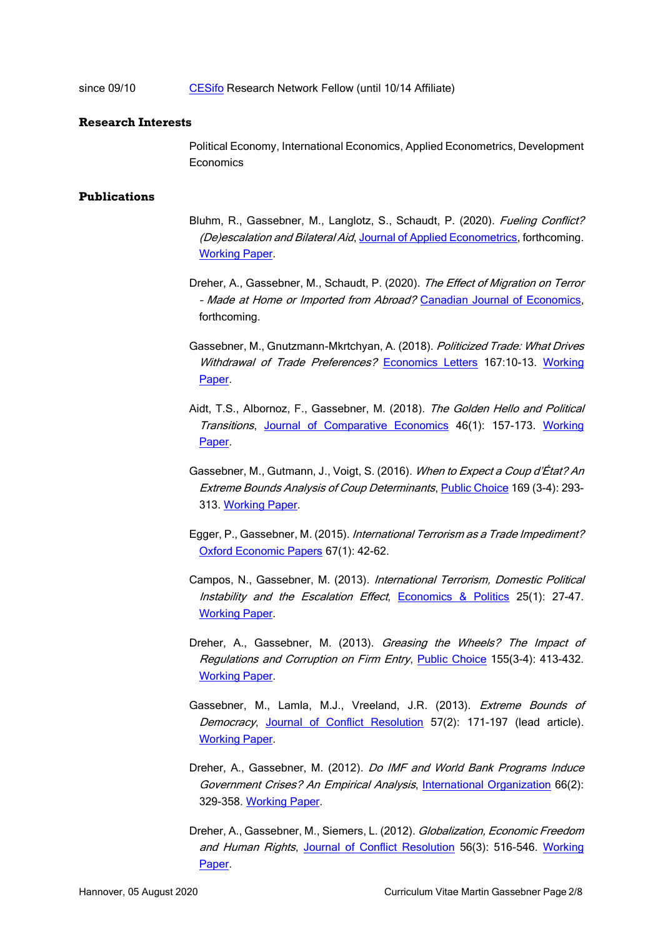#### since 09/10 [CESifo](http://www.cesifo-group.de/portal/page/portal/ifoHome) Research Network Fellow (until 10/14 Affiliate)

#### **Research Interests**

Political Economy, International Economics, Applied Econometrics, Development **Economics** 

#### **Publications**

- Bluhm, R., Gassebner, M., Langlotz, S., Schaudt, P. (2020). *Fueling Conflict?* (De)escalation and Bilateral Aid, [Journal of Applied Econometrics,](https://onlinelibrary.wiley.com/doi/epdf/10.1002/jae.2797) forthcoming. [Working Paper.](http://ideas.repec.org/p/ces/ceswps/_6125.html)
- Dreher, A., Gassebner, M., Schaudt, P. (2020). The Effect of Migration on Terror - Made at Home or Imported from Abroad? [Canadian Journal of Economics,](https://ideas.repec.org/p/cpr/ceprdp/12062.html) forthcoming.
- Gassebner, M., Gnutzmann-Mkrtchyan, A. (2018). Politicized Trade: What Drives Withdrawal of Trade Preferences? [Economics Letters](https://ideas.repec.org/a/eee/ecolet/v167y2018icp10-13.html) 167:10-13. Working [Paper.](http://ideas.repec.org/p/han/dpaper/dp-612.html)
- Aidt, T.S., Albornoz, F., Gassebner, M. (2018). The Golden Hello and Political Transitions, Journal of [Comparative Economics](https://ideas.repec.org/a/eee/jcecon/v46y2018i1p157-173.html) 46(1): 157-173. Working [Paper.](http://ideas.repec.org/p/cam/camdae/1241.html)
- Gassebner, M., Gutmann, J., Voigt, S. (2016). When to Expect a Coup d'État? An Extreme Bounds Analysis of Coup Determinants, [Public Choice](https://ideas.repec.org/a/kap/pubcho/v169y2016i3d10.1007_s11127-016-0365-0.html) 169 (3-4): 293-313. [Working Paper.](https://ideas.repec.org/p/ces/ceswps/_6065.html)
- Egger, P., Gassebner, M. (2015). International Terrorism as a Trade Impediment? [Oxford Economic Papers](https://ideas.repec.org/a/oup/oxecpp/v67y2015i1p42-62..html) 67(1): 42-62.
- Campos, N., Gassebner, M. (2013). International Terrorism, Domestic Political Instability and the Escalation Effect, [Economics & Politics](http://ideas.repec.org/a/bla/ecopol/v25y2013i1p27-47.html) 25(1): 27-47. [Working Paper.](http://ideas.repec.org/p/cpr/ceprdp/7226.html)
- Dreher, A., Gassebner, M. (2013). Greasing the Wheels? The Impact of Regulations and Corruption on Firm Entry, [Public Choice](https://ideas.repec.org/a/kap/pubcho/v155y2013i3p413-432.html) 155(3-4): 413-432. [Working Paper.](http://ideas.repec.org/p/ces/ceswps/_2013.html)
- Gassebner, M., Lamla, M.J., Vreeland, J.R. (2013). Extreme Bounds of Democracy, [Journal of Conflict Resolution](https://ideas.repec.org/a/sae/jocore/v57y2013i2p171-197.html) 57(2): 171-197 (lead article). [Working Paper.](http://ideas.repec.org/p/kof/wpskof/09-224.html)
- Dreher, A., Gassebner, M. (2012). Do IMF and World Bank Programs Induce Government Crises? An Empirical Analysis, [International Organization](http://ideas.repec.org/a/cup/intorg/v66y2012i02p329-358_00.html) 66(2): 329-358. [Working Paper.](http://ideas.repec.org/p/kof/wpskof/08-200.html)
- Dreher, A., Gassebner, M., Siemers, L. (2012). Globalization, Economic Freedom and Human Rights, [Journal of Conflict Resolution](https://ideas.repec.org/a/sae/jocore/v56y2012i3p516-546.html) 56(3): 516-546. Working [Paper.](http://ideas.repec.org/p/ces/ceswps/_3228.html)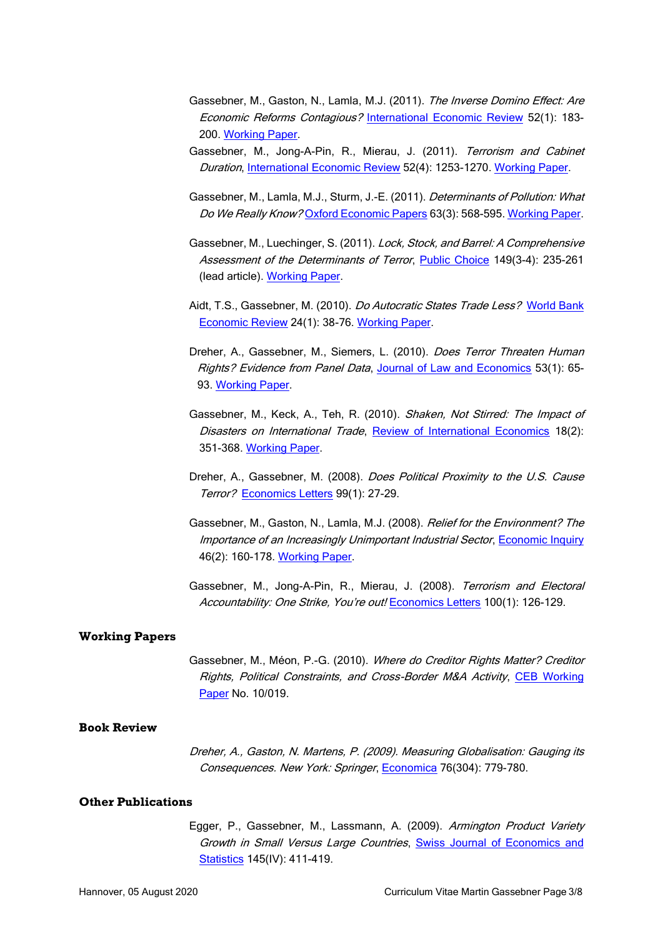- Gassebner, M., Gaston, N., Lamla, M.J. (2011). The Inverse Domino Effect: Are Economic Reforms Contagious? [International Economic Review](http://ideas.repec.org/a/ier/iecrev/v52y2011i1p183-200.html) 52(1): 183- 200. [Working Paper.](http://ideas.repec.org/p/kof/wpskof/08-187.html)
- Gassebner, M., Jong-A-Pin, R., Mierau, J. (2011). Terrorism and Cabinet Duration, [International Economic Review](http://ideas.repec.org/a/ier/iecrev/v52y2011i4p1253-1270.html) 52(4): 1253-1270. [Working Paper.](http://ideas.repec.org/p/kof/wpskof/07-181.html)
- Gassebner, M., Lamla, M.J., Sturm, J.-E. (2011). Determinants of Pollution: What Do We Really Know? [Oxford Economic Papers](http://ideas.repec.org/a/oup/oxecpp/v63y2011i3p568-595.html) 63(3): 568-595. [Working Paper.](http://ideas.repec.org/p/ces/ceswps/_1699.html)
- Gassebner, M., Luechinger, S. (2011). Lock, Stock, and Barrel: A Comprehensive Assessment of the Determinants of Terror, [Public Choice](http://ideas.repec.org/a/kap/pubcho/v149y2011i3p235-261.html) 149(3-4): 235-261 (lead article). [Working Paper.](http://ideas.repec.org/p/ces/ceswps/_3550.html)
- Aidt, T.S., Gassebner, M. (2010). *Do Autocratic States Trade Less?* World Bank [Economic Review](http://ideas.repec.org/a/oup/wbecrv/v24y2010i1p38-76.html) 24(1): 38-76. [Working Paper.](http://ideas.repec.org/p/cam/camdae/0742.html)
- Dreher, A., Gassebner, M., Siemers, L. (2010). Does Terror Threaten Human Rights? Evidence from Panel Data, [Journal of Law and Economics](http://ideas.repec.org/a/ucp/jlawec/v53y2010i1p65-93.html) 53(1): 65-93. [Working Paper.](http://ideas.repec.org/p/ces/ceswps/_1935.html)
- Gassebner, M., Keck, A., Teh, R. (2010). Shaken, Not Stirred: The Impact of Disasters on International Trade, [Review of International Economics](http://ideas.repec.org/a/bla/reviec/v18y2010i2p351-368.html) 18(2): 351-368. [Working Paper.](http://ideas.repec.org/p/kof/wpskof/06-139.html)
- Dreher, A., Gassebner, M. (2008). Does Political Proximity to the U.S. Cause Terror? [Economics Letters](http://ideas.repec.org/a/eee/ecolet/v99y2008i1p27-29.html) 99(1): 27-29.
- Gassebner, M., Gaston, N., Lamla, M.J. (2008). Relief for the Environment? The Importance of an Increasingly Unimportant Industrial Sector, [Economic Inquiry](http://ideas.repec.org/a/bla/ecinqu/v46y2008i2p160-178.html) 46(2): 160-178. [Working Paper.](http://ideas.repec.org/p/kof/wpskof/06-130.html)
- Gassebner, M., Jong-A-Pin, R., Mierau, J. (2008). Terrorism and Electoral Accountability: One Strike, You're out! [Economics Letters](http://ideas.repec.org/a/eee/ecolet/v100y2008i1p126-129.html) 100(1): 126-129.

#### **Working Papers**

Gassebner, M., Méon, P.-G. (2010). Where do Creditor Rights Matter? Creditor Rights, Political Constraints, and Cross-Border M&A Activity, [CEB Working](http://ideas.repec.org/p/sol/wpaper/10-019.html)  [Paper](http://ideas.repec.org/p/sol/wpaper/10-019.html) No. 10/019.

#### **Book Review**

Dreher, A., Gaston, N. Martens, P. (2009). Measuring Globalisation: Gauging its Consequences. New York: Springer, [Economica](http://ideas.repec.org/a/bla/econom/v76y2009i304p779-780.html) 76(304): 779-780.

#### **Other Publications**

Egger, P., Gassebner, M., Lassmann, A. (2009). Armington Product Variety Growth in Small Versus Large Countries, [Swiss Journal of Economics and](http://ideas.repec.org/a/ses/arsjes/2009-iv-4.html)  [Statistics](http://ideas.repec.org/a/ses/arsjes/2009-iv-4.html) 145(IV): 411-419.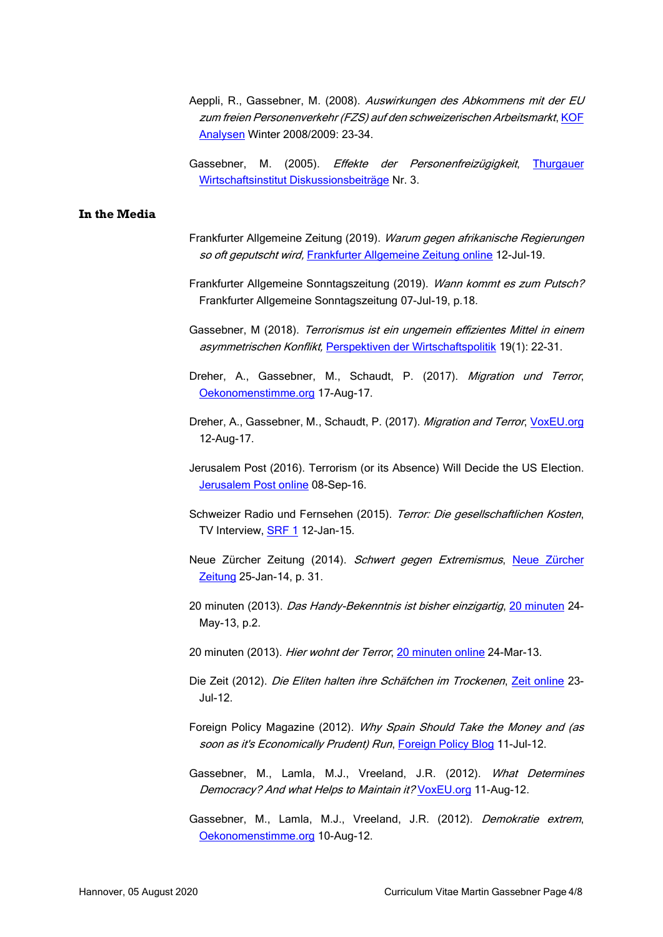- Aeppli, R., Gassebner, M. (2008). Auswirkungen des Abkommens mit der EU zum freien Personenverkehr (FZS) auf den schweizerischen Arbeitsmarkt, KOF [Analysen](https://ideas.repec.org/a/kof/anskof/v2y2008i4p23-34.html) Winter 2008/2009: 23-34.
- Gassebner, M. (2005). Effekte der Personenfreizügigkeit, Thurgauer [Wirtschaftsinstitut Diskussionsbeiträge](http://ideas.repec.org/p/twi/diskus/0001.html) Nr. 3.

#### **In the Media**

- Frankfurter Allgemeine Zeitung (2019). Warum gegen afrikanische Regierungen so oft geputscht wird, [Frankfurter Allgemeine Zeitung online](https://www.faz.net/aktuell/wirtschaft/warum-es-in-afrikanischen-regierungen-so-oft-zum-putsch-kommt-16281461.html?printPagedArticle=true#pageIndex_3) 12-Jul-19.
- Frankfurter Allgemeine Sonntagszeitung (2019). Wann kommt es zum Putsch? Frankfurter Allgemeine Sonntagszeitung 07-Jul-19, p.18.
- Gassebner, M (2018). Terrorismus ist ein ungemein effizientes Mittel in einem asymmetrischen Konflikt, [Perspektiven der Wirtschaftspolitik](https://ideas.repec.org/a/bpj/pewipo/v19y2018i1p22-31n3.html) 19(1): 22-31.
- Dreher, A., Gassebner, M., Schaudt, P. (2017). Migration und Terror, [Oekonomenstimme.org](http://www.oekonomenstimme.org/artikel/2017/08/migration-und-terror/) 17-Aug-17.
- Dreher, A., Gassebner, M., Schaudt, P. (2017). Migration and Terror, [VoxEU.org](http://voxeu.org/article/migration-and-terror) 12-Aug-17.
- Jerusalem Post (2016). Terrorism (or its Absence) Will Decide the US Election. [Jerusalem Post online](http://www.jpost.com/Opinion/Terrorism-or-its-absence-will-decide-the-US-election-467289) 08-Sep-16.
- Schweizer Radio und Fernsehen (2015). Terror: Die gesellschaftlichen Kosten, TV Interview, [SRF 1](http://www.srf.ch/play/tv/eco/video/terror-die-gesellschaftlichen-kosten?id=355d69dc-0bcf-4232-acce-af927a2648a0) 12-Jan-15.
- [Neue Zürcher](http://www.nzz.ch/wirtschaft/wirtschafts-und-finanzportal/schwert-gegen-den-extremismus-1.18228748) Zeitung (2014). Schwert gegen Extremismus, Neue Zürcher [Zeitung](http://www.nzz.ch/wirtschaft/wirtschafts-und-finanzportal/schwert-gegen-den-extremismus-1.18228748) 25-Jan-14, p. 31.
- 20 minuten (2013). Das Handy-Bekenntnis ist bisher einzigartig, [20 minuten](http://www.20min.ch/ausland/news/story/-Das-Handy-Bekenntnis-ist-bisher-einzigartig--12583707) 24-May-13, p.2.
- 20 minuten (2013). Hier wohnt der Terror, [20 minuten](http://www.20min.ch/wissen/news/story/15952343) online 24-Mar-13.
- Die Zeit (2012). Die Eliten halten ihre Schäfchen im Trockenen, [Zeit online](http://www.zeit.de/wirtschaft/2012-07/weltbank-iwf-eurokrise/) 23- Jul-12.
- Foreign Policy Magazine (2012). Why Spain Should Take the Money and (as soon as it's Economically Prudent) Run, [Foreign Policy Blog](http://blog.foreignpolicy.com/posts/2012/07/11/why_spain_should_take_the_money_and_as_soon_as_its_economically_prudent_run) 11-Jul-12.
- Gassebner, M., Lamla, M.J., Vreeland, J.R. (2012). What Determines Democracy? And what Helps to Maintain it? [VoxEU.org](http://www.voxeu.org/article/extreme-bounds-democracy-what-means-arab-world) 11-Aug-12.
- Gassebner, M., Lamla, M.J., Vreeland, J.R. (2012). Demokratie extrem, [Oekonomenstimme.org](http://www.oekonomenstimme.org/artikel/2012/08/demokratie-extrem/) 10-Aug-12.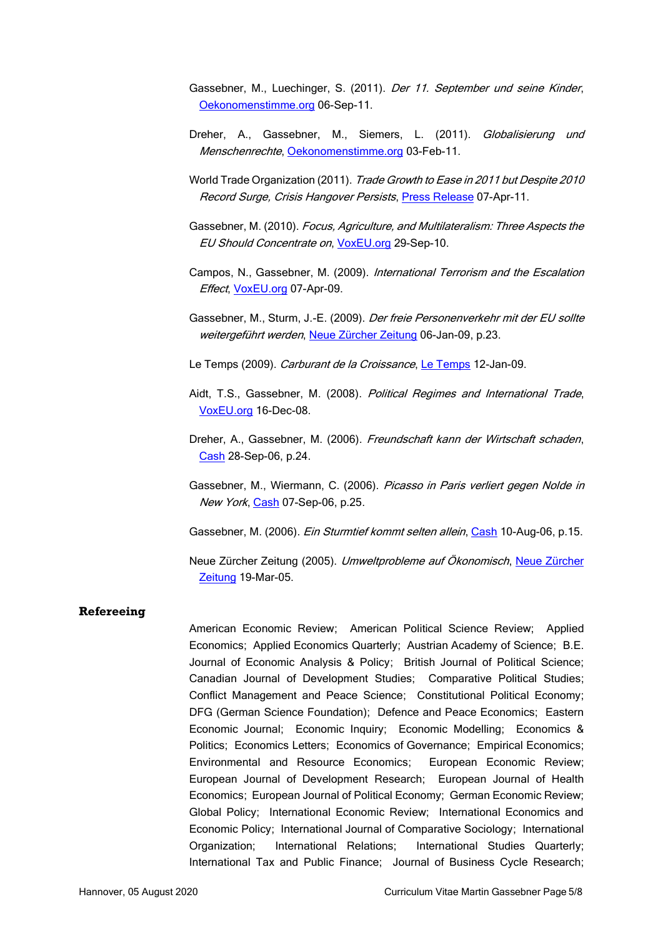- Gassebner, M., Luechinger, S. (2011). Der 11. September und seine Kinder, [Oekonomenstimme.org](http://www.oekonomenstimme.org/artikel/2011/09/der-11-september-und-seine-kinder) 06-Sep-11.
- Dreher, A., Gassebner, M., Siemers, L. (2011). Globalisierung und Menschenrechte, [Oekonomenstimme.org](http://www.oekonomenstimme.org/artikel/2011/02/globalisierung-und-menschenrechte/) 03-Feb-11.
- World Trade Organization (2011). Trade Growth to Ease in 2011 but Despite 2010 Record Surge, Crisis Hangover Persists[, Press Release](http://www.wto.org/english/news_e/pres11_e/pr628_e.htm) 07-Apr-11.
- Gassebner, M. (2010). Focus, Agriculture, and Multilateralism: Three Aspects the EU Should Concentrate on, [VoxEU.org](http://www.voxeu.org/index.php?q=node/5576) 29-Sep-10.
- Campos, N., Gassebner, M. (2009). International Terrorism and the Escalation Effect, [VoxEU.org](http://www.voxeu.org/index.php?q=node/3422) 07-Apr-09.
- Gassebner, M., Sturm, J.-E. (2009). Der freie Personenverkehr mit der EU sollte weitergeführt werden, [Neue Zürcher Zeitung](http://www.nzz.ch/nachrichten/wirtschaft/aktuell/der_freie_personenverkehr_mit_der_eu_sollte_weitergefuehrt_werden_1.1647138.html) 06-Jan-09, p.23.
- Le Temps (2009). Carburant de la Croissance, [Le Temps](http://www.letemps.ch/template/tempsFort.asp?page=3&article=247635) 12-Jan-09.
- Aidt, T.S., Gassebner, M. (2008). Political Regimes and International Trade, [VoxEU.org](http://www.voxeu.org/index.php?q=node/2685) 16-Dec-08.
- Dreher, A., Gassebner, M. (2006). Freundschaft kann der Wirtschaft schaden, [Cash](http://www.cash.ch/) 28-Sep-06, p.24.
- Gassebner, M., Wiermann, C. (2006). Picasso in Paris verliert gegen Nolde in New York, [Cash](http://www.cash.ch/) 07-Sep-06, p.25.
- Gassebner, M. (2006). Ein Sturmtief kommt selten allein, [Cash](http://www.cash.ch/) 10-Aug-06, p.15.
- Neue Zürcher Zeitung (2005). Umweltprobleme auf Ökonomisch, [Neue Zürcher](http://www.nzz.ch/2005/03/19/wi/articlecodjz_1.109222.html)  [Zeitung](http://www.nzz.ch/2005/03/19/wi/articlecodjz_1.109222.html) 19-Mar-05.

#### **Refereeing**

American Economic Review; American Political Science Review; Applied Economics; Applied Economics Quarterly; Austrian Academy of Science; B.E. Journal of Economic Analysis & Policy; British Journal of Political Science; Canadian Journal of Development Studies; Comparative Political Studies; Conflict Management and Peace Science; Constitutional Political Economy; DFG (German Science Foundation); Defence and Peace Economics; Eastern Economic Journal; Economic Inquiry; Economic Modelling; Economics & Politics; Economics Letters; Economics of Governance; Empirical Economics; Environmental and Resource Economics; European Economic Review; European Journal of Development Research; European Journal of Health Economics; European Journal of Political Economy; German Economic Review; Global Policy; International Economic Review; International Economics and Economic Policy; International Journal of Comparative Sociology; International Organization; International Relations; International Studies Quarterly; International Tax and Public Finance; Journal of Business Cycle Research;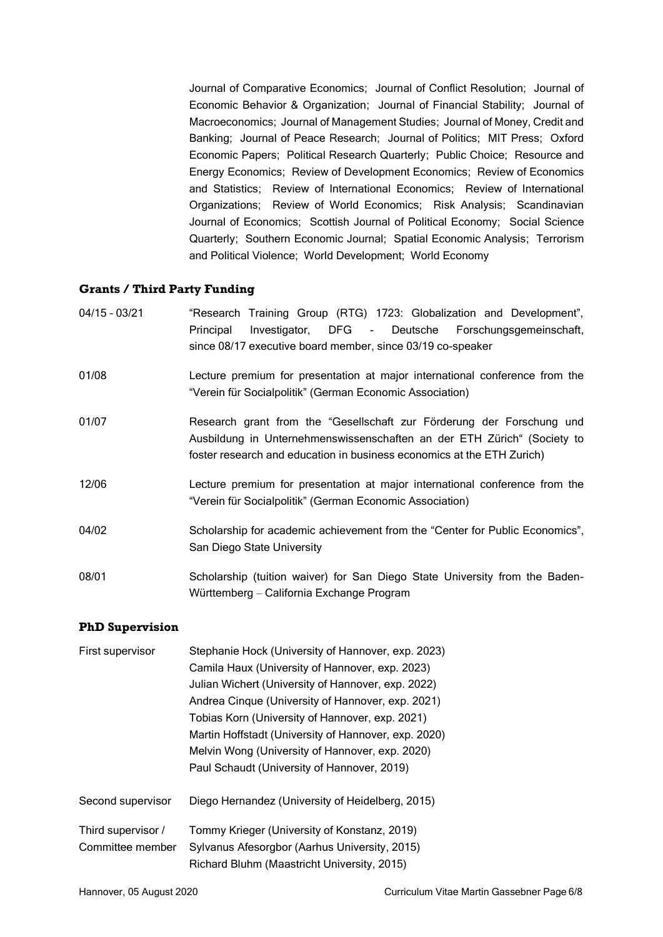Journal of Comparative Economics; Journal of Conflict Resolution; Journal of Economic Behavior & Organization; Journal of Financial Stability; Journal of Macroeconomics; Journal of Management Studies; Journal of Money, Credit and Banking; Journal of Peace Research; Journal of Politics; MIT Press; Oxford Economic Papers; Political Research Quarterly; Public Choice; Resource and Energy Economics; Review of Development Economics; Review of Economics and Statistics; Review of International Economics; Review of International Organizations; Review of World Economics; Risk Analysis; Scandinavian Journal of Economics; Scottish Journal of Political Economy; Social Science Quarterly; Southern Economic Journal; Spatial Economic Analysis; Terrorism and Political Violence; World Development; World Economy

## **Grants / Third Party Funding**

| $04/15 - 03/21$ | "Research Training Group (RTG) 1723: Globalization and Development",<br>Investigator, DFG - Deutsche Forschungsgemeinschaft,<br>Principal<br>since 08/17 executive board member, since 03/19 co-speaker                    |
|-----------------|----------------------------------------------------------------------------------------------------------------------------------------------------------------------------------------------------------------------------|
| 01/08           | Lecture premium for presentation at major international conference from the<br>"Verein für Socialpolitik" (German Economic Association)                                                                                    |
| 01/07           | Research grant from the "Gesellschaft zur Förderung der Forschung und<br>Ausbildung in Unternehmenswissenschaften an der ETH Zürich" (Society to<br>foster research and education in business economics at the ETH Zurich) |
| 12/06           | Lecture premium for presentation at major international conference from the<br>"Verein für Socialpolitik" (German Economic Association)                                                                                    |
| 04/02           | Scholarship for academic achievement from the "Center for Public Economics",<br>San Diego State University                                                                                                                 |
| 08/01           | Scholarship (tuition waiver) for San Diego State University from the Baden-<br>Württemberg – California Exchange Program                                                                                                   |

### **PhD Supervision**

| First supervisor   | Stephanie Hock (University of Hannover, exp. 2023)   |
|--------------------|------------------------------------------------------|
|                    | Camila Haux (University of Hannover, exp. 2023)      |
|                    | Julian Wichert (University of Hannover, exp. 2022)   |
|                    | Andrea Cinque (University of Hannover, exp. 2021)    |
|                    | Tobias Korn (University of Hannover, exp. 2021)      |
|                    | Martin Hoffstadt (University of Hannover, exp. 2020) |
|                    | Melvin Wong (University of Hannover, exp. 2020)      |
|                    | Paul Schaudt (University of Hannover, 2019)          |
| Second supervisor  | Diego Hernandez (University of Heidelberg, 2015)     |
| Third supervisor / | Tommy Krieger (University of Konstanz, 2019)         |
| Committee member   | Sylvanus Afesorgbor (Aarhus University, 2015)        |
|                    | Richard Bluhm (Maastricht University, 2015)          |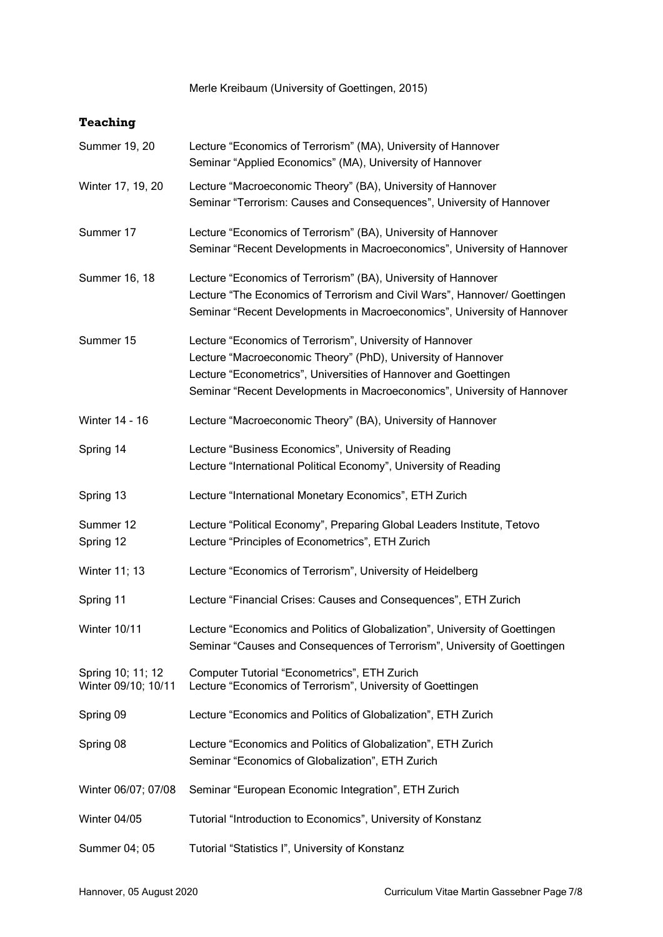Merle Kreibaum (University of Goettingen, 2015)

# **Teaching**

| <b>Summer 19, 20</b>                     | Lecture "Economics of Terrorism" (MA), University of Hannover<br>Seminar "Applied Economics" (MA), University of Hannover                                                                                                                                              |
|------------------------------------------|------------------------------------------------------------------------------------------------------------------------------------------------------------------------------------------------------------------------------------------------------------------------|
| Winter 17, 19, 20                        | Lecture "Macroeconomic Theory" (BA), University of Hannover<br>Seminar "Terrorism: Causes and Consequences", University of Hannover                                                                                                                                    |
| Summer 17                                | Lecture "Economics of Terrorism" (BA), University of Hannover<br>Seminar "Recent Developments in Macroeconomics", University of Hannover                                                                                                                               |
| Summer 16, 18                            | Lecture "Economics of Terrorism" (BA), University of Hannover<br>Lecture "The Economics of Terrorism and Civil Wars", Hannover/ Goettingen<br>Seminar "Recent Developments in Macroeconomics", University of Hannover                                                  |
| Summer 15                                | Lecture "Economics of Terrorism", University of Hannover<br>Lecture "Macroeconomic Theory" (PhD), University of Hannover<br>Lecture "Econometrics", Universities of Hannover and Goettingen<br>Seminar "Recent Developments in Macroeconomics", University of Hannover |
| <b>Winter 14 - 16</b>                    | Lecture "Macroeconomic Theory" (BA), University of Hannover                                                                                                                                                                                                            |
| Spring 14                                | Lecture "Business Economics", University of Reading<br>Lecture "International Political Economy", University of Reading                                                                                                                                                |
| Spring 13                                | Lecture "International Monetary Economics", ETH Zurich                                                                                                                                                                                                                 |
| Summer 12<br>Spring 12                   | Lecture "Political Economy", Preparing Global Leaders Institute, Tetovo<br>Lecture "Principles of Econometrics", ETH Zurich                                                                                                                                            |
| Winter 11; 13                            | Lecture "Economics of Terrorism", University of Heidelberg                                                                                                                                                                                                             |
| Spring 11                                | Lecture "Financial Crises: Causes and Consequences", ETH Zurich                                                                                                                                                                                                        |
| Winter 10/11                             | Lecture "Economics and Politics of Globalization", University of Goettingen<br>Seminar "Causes and Consequences of Terrorism", University of Goettingen                                                                                                                |
| Spring 10; 11; 12<br>Winter 09/10; 10/11 | Computer Tutorial "Econometrics", ETH Zurich<br>Lecture "Economics of Terrorism", University of Goettingen                                                                                                                                                             |
| Spring 09                                | Lecture "Economics and Politics of Globalization", ETH Zurich                                                                                                                                                                                                          |
| Spring 08                                | Lecture "Economics and Politics of Globalization", ETH Zurich<br>Seminar "Economics of Globalization", ETH Zurich                                                                                                                                                      |
| Winter 06/07; 07/08                      | Seminar "European Economic Integration", ETH Zurich                                                                                                                                                                                                                    |
| Winter 04/05                             | Tutorial "Introduction to Economics", University of Konstanz                                                                                                                                                                                                           |
| Summer 04; 05                            | Tutorial "Statistics I", University of Konstanz                                                                                                                                                                                                                        |